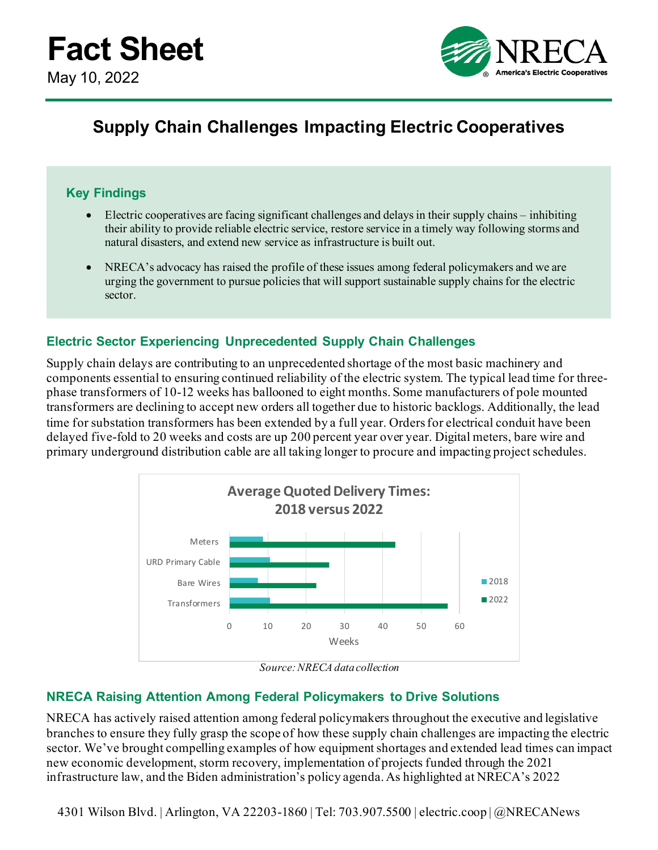

# **Supply Chain Challenges Impacting Electric Cooperatives**

## **Key Findings**

- Electric cooperatives are facing significant challenges and delays in their supply chains inhibiting their ability to provide reliable electric service, restore service in a timely way following storms and natural disasters, and extend new service as infrastructure is built out.
- NRECA's advocacy has raised the profile of these issues among federal policymakers and we are urging the government to pursue policies that will support sustainable supply chains for the electric sector.

### **Electric Sector Experiencing Unprecedented Supply Chain Challenges**

Supply chain delays are contributing to an unprecedented shortage of the most basic machinery and components essential to ensuring continued reliability of the electric system. The typical lead time for threephase transformers of 10-12 weeks has ballooned to eight months. Some manufacturers of pole mounted transformers are declining to accept new orders all together due to historic backlogs. Additionally, the lead time for substation transformers has been extended by a full year. Orders for electrical conduit have been delayed five-fold to 20 weeks and costs are up 200 percent year over year. Digital meters, bare wire and primary underground distribution cable are all taking longer to procure and impacting project schedules.



*Source: NRECA data collection*

### **NRECA Raising Attention Among Federal Policymakers to Drive Solutions**

NRECA has actively raised attention among federal policymakers throughout the executive and legislative branches to ensure they fully grasp the scope of how these supply chain challenges are impacting the electric sector. We've brought compelling examples of how equipment shortages and extended lead times can impact new economic development, storm recovery, implementation of projects funded through the 2021 infrastructure law, and the Biden administration's policy agenda. As highlighted at NRECA's 2022